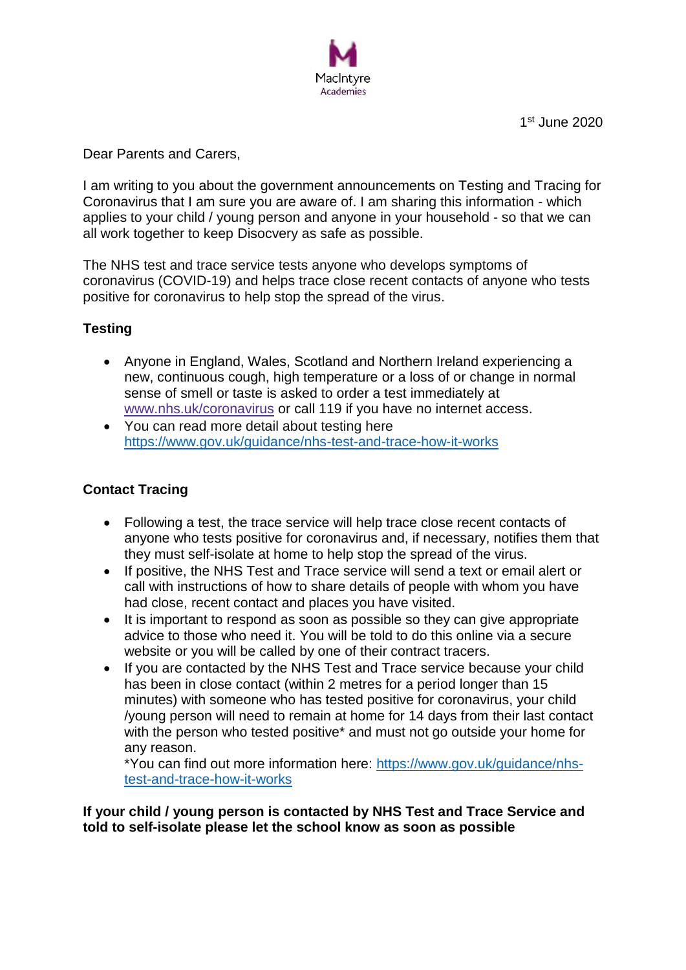

1 st June 2020

Dear Parents and Carers,

I am writing to you about the government announcements on Testing and Tracing for Coronavirus that I am sure you are aware of. I am sharing this information - which applies to your child / young person and anyone in your household - so that we can all work together to keep Disocvery as safe as possible.

The NHS test and trace service tests anyone who develops symptoms of coronavirus (COVID-19) and helps trace close recent contacts of anyone who tests positive for coronavirus to help stop the spread of the virus.

# **Testing**

- Anyone in England, Wales, Scotland and Northern Ireland experiencing a new, continuous cough, high temperature or a loss of or change in normal sense of smell or taste is asked to order a test immediately at [www.nhs.uk/coronavirus](https://www.nhs.uk/conditions/coronavirus-covid-19/) or call 119 if you have no internet access.
- You can read more detail about testing here <https://www.gov.uk/guidance/nhs-test-and-trace-how-it-works>

# **Contact Tracing**

- Following a test, the trace service will help trace close recent contacts of anyone who tests positive for coronavirus and, if necessary, notifies them that they must self-isolate at home to help stop the spread of the virus.
- If positive, the NHS Test and Trace service will send a text or email alert or call with instructions of how to share details of people with whom you have had close, recent contact and places you have visited.
- It is important to respond as soon as possible so they can give appropriate advice to those who need it. You will be told to do this online via a secure website or you will be called by one of their contract tracers.
- If you are contacted by the NHS Test and Trace service because your child has been in close contact (within 2 metres for a period longer than 15 minutes) with someone who has tested positive for coronavirus, your child /young person will need to remain at home for 14 days from their last contact with the person who tested positive\* and must not go outside your home for any reason.

\*You can find out more information here: [https://www.gov.uk/guidance/nhs](https://www.gov.uk/guidance/nhs-test-and-trace-how-it-works)[test-and-trace-how-it-works](https://www.gov.uk/guidance/nhs-test-and-trace-how-it-works)

**If your child / young person is contacted by NHS Test and Trace Service and told to self-isolate please let the school know as soon as possible**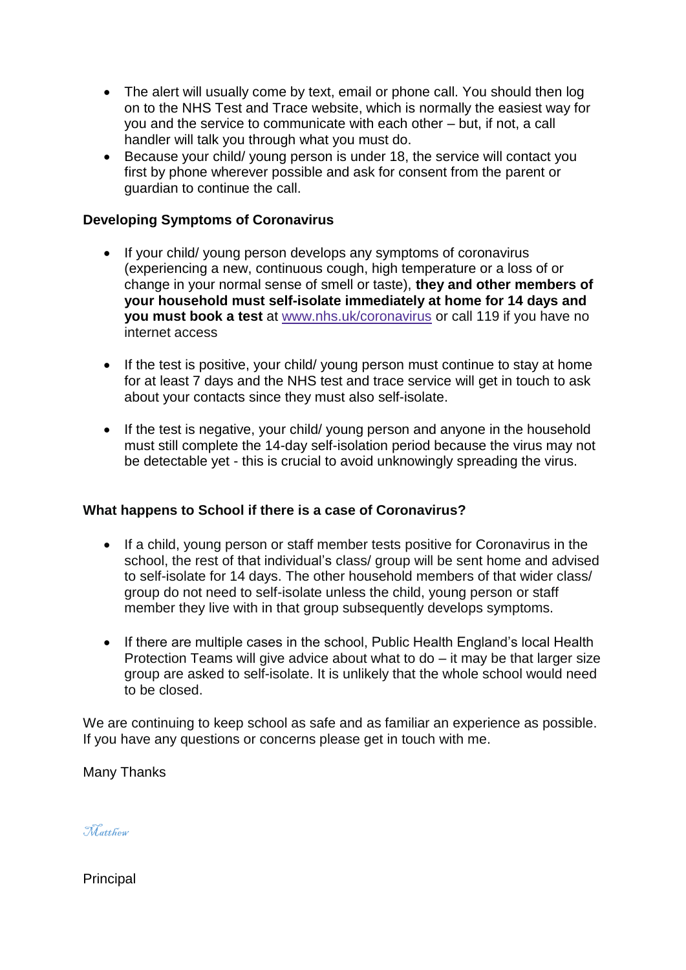- The alert will usually come by text, email or phone call. You should then log on to the NHS Test and Trace website, which is normally the easiest way for you and the service to communicate with each other – but, if not, a call handler will talk you through what you must do.
- Because your child/ young person is under 18, the service will contact you first by phone wherever possible and ask for consent from the parent or guardian to continue the call.

## **Developing Symptoms of Coronavirus**

- If your child/ young person develops any symptoms of coronavirus (experiencing a new, continuous cough, high temperature or a loss of or change in your normal sense of smell or taste), **they and other members of your household must self-isolate immediately at home for 14 days and you must book a test** at [www.nhs.uk/coronavirus](https://www.nhs.uk/conditions/coronavirus-covid-19/) or call 119 if you have no internet access
- If the test is positive, your child/ young person must continue to stay at home for at least 7 days and the NHS test and trace service will get in touch to ask about your contacts since they must also self-isolate.
- If the test is negative, your child/ young person and anyone in the household must still complete the 14-day self-isolation period because the virus may not be detectable yet - this is crucial to avoid unknowingly spreading the virus.

#### **What happens to School if there is a case of Coronavirus?**

- If a child, young person or staff member tests positive for Coronavirus in the school, the rest of that individual's class/ group will be sent home and advised to self-isolate for 14 days. The other household members of that wider class/ group do not need to self-isolate unless the child, young person or staff member they live with in that group subsequently develops symptoms.
- If there are multiple cases in the school, Public Health England's local Health Protection Teams will give advice about what to do – it may be that larger size group are asked to self-isolate. It is unlikely that the whole school would need to be closed.

We are continuing to keep school as safe and as familiar an experience as possible. If you have any questions or concerns please get in touch with me.

Many Thanks

Matthew

**Principal**